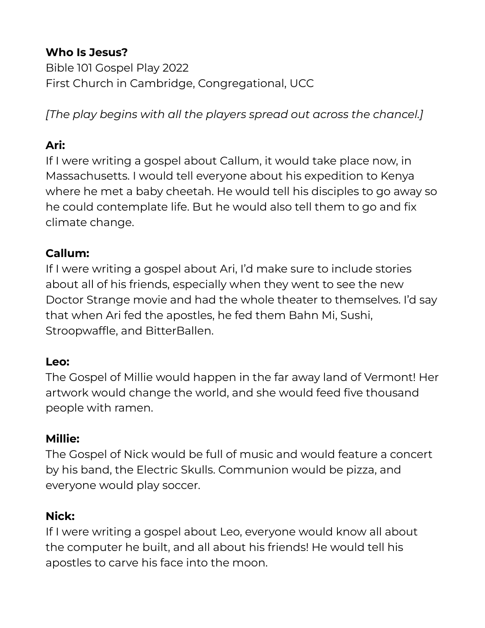### **Who Is Jesus?**

Bible 101 Gospel Play 2022 First Church in Cambridge, Congregational, UCC

*[The play begins with all the players spread out across the chancel.]*

#### **Ari:**

If I were writing a gospel about Callum, it would take place now, in Massachusetts. I would tell everyone about his expedition to Kenya where he met a baby cheetah. He would tell his disciples to go away so he could contemplate life. But he would also tell them to go and fix climate change.

#### **Callum:**

If I were writing a gospel about Ari, I'd make sure to include stories about all of his friends, especially when they went to see the new Doctor Strange movie and had the whole theater to themselves. I'd say that when Ari fed the apostles, he fed them Bahn Mi, Sushi, Stroopwaffle, and BitterBallen.

#### **Leo:**

The Gospel of Millie would happen in the far away land of Vermont! Her artwork would change the world, and she would feed five thousand people with ramen.

#### **Millie:**

The Gospel of Nick would be full of music and would feature a concert by his band, the Electric Skulls. Communion would be pizza, and everyone would play soccer.

#### **Nick:**

If I were writing a gospel about Leo, everyone would know all about the computer he built, and all about his friends! He would tell his apostles to carve his face into the moon.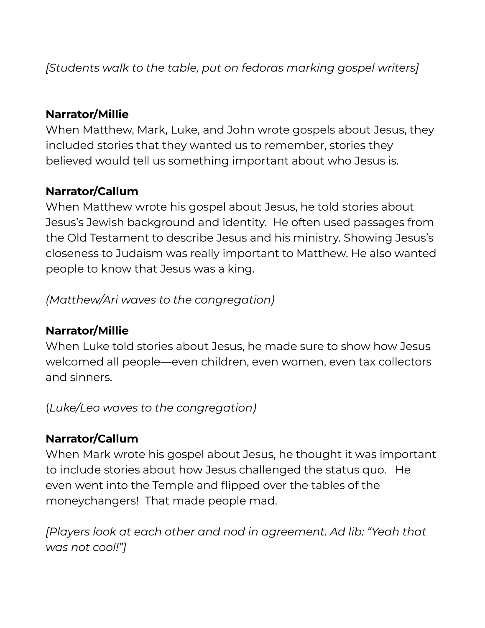*[Students walk to the table, put on fedoras marking gospel writers]*

### **Narrator/Millie**

When Matthew, Mark, Luke, and John wrote gospels about Jesus, they included stories that they wanted us to remember, stories they believed would tell us something important about who Jesus is.

### **Narrator/Callum**

When Matthew wrote his gospel about Jesus, he told stories about Jesus's Jewish background and identity. He often used passages from the Old Testament to describe Jesus and his ministry. Showing Jesus's closeness to Judaism was really important to Matthew. He also wanted people to know that Jesus was a king.

*(Matthew/Ari waves to the congregation)*

#### **Narrator/Millie**

When Luke told stories about Jesus, he made sure to show how Jesus welcomed all people—even children, even women, even tax collectors and sinners.

(*Luke/Leo waves to the congregation)*

#### **Narrator/Callum**

When Mark wrote his gospel about Jesus, he thought it was important to include stories about how Jesus challenged the status quo. He even went into the Temple and flipped over the tables of the moneychangers! That made people mad.

*[Players look at each other and nod in agreement. Ad lib: "Yeah that was not cool!"]*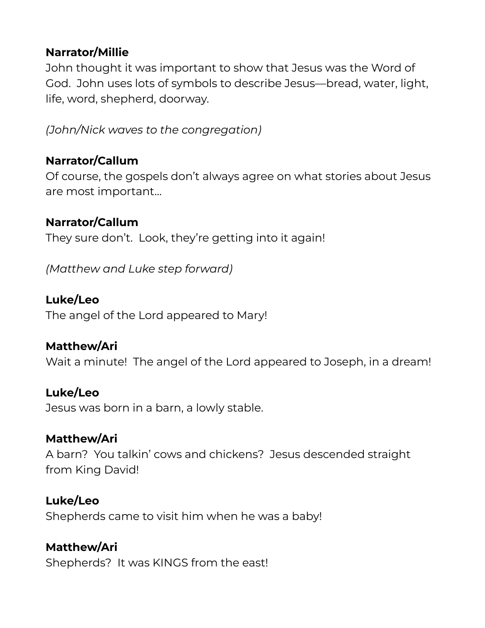### **Narrator/Millie**

John thought it was important to show that Jesus was the Word of God. John uses lots of symbols to describe Jesus—bread, water, light, life, word, shepherd, doorway.

*(John/Nick waves to the congregation)*

### **Narrator/Callum**

Of course, the gospels don't always agree on what stories about Jesus are most important…

### **Narrator/Callum**

They sure don't. Look, they're getting into it again!

*(Matthew and Luke step forward)*

### **Luke/Leo**

The angel of the Lord appeared to Mary!

#### **Matthew/Ari**

Wait a minute! The angel of the Lord appeared to Joseph, in a dream!

#### **Luke/Leo**

Jesus was born in a barn, a lowly stable.

#### **Matthew/Ari**

A barn? You talkin' cows and chickens? Jesus descended straight from King David!

#### **Luke/Leo**

Shepherds came to visit him when he was a baby!

### **Matthew/Ari**

Shepherds? It was KINGS from the east!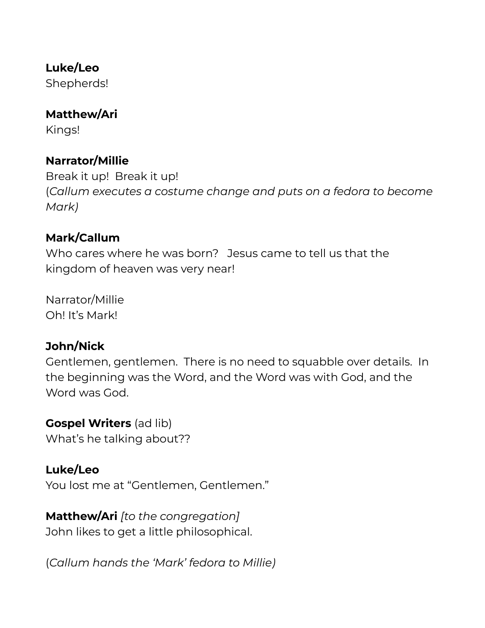#### **Luke/Leo**

Shepherds!

### **Matthew/Ari**

Kings!

## **Narrator/Millie**

Break it up! Break it up! (*Callum executes a costume change and puts on a fedora to become Mark)*

## **Mark/Callum**

Who cares where he was born? Jesus came to tell us that the kingdom of heaven was very near!

Narrator/Millie Oh! It's Mark!

#### **John/Nick**

Gentlemen, gentlemen. There is no need to squabble over details. In the beginning was the Word, and the Word was with God, and the Word was God.

#### **Gospel Writers** (ad lib)

What's he talking about??

### **Luke/Leo**

You lost me at "Gentlemen, Gentlemen."

# **Matthew/Ari** *[to the congregation]*

John likes to get a little philosophical.

(*Callum hands the 'Mark' fedora to Millie)*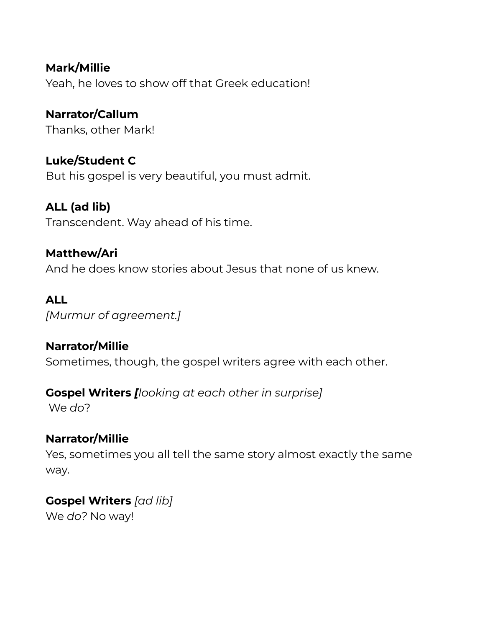**Mark/Millie** Yeah, he loves to show off that Greek education!

**Narrator/Callum** Thanks, other Mark!

**Luke/Student C** But his gospel is very beautiful, you must admit.

**ALL (ad lib)** Transcendent. Way ahead of his time.

**Matthew/Ari** And he does know stories about Jesus that none of us knew.

### **ALL**

*[Murmur of agreement.]*

#### **Narrator/Millie**

Sometimes, though, the gospel writers agree with each other.

#### **Gospel Writers** *[looking at each other in surprise]*

We *do*?

### **Narrator/Millie**

Yes, sometimes you all tell the same story almost exactly the same way.

**Gospel Writers** *[ad lib]* We *do?* No way!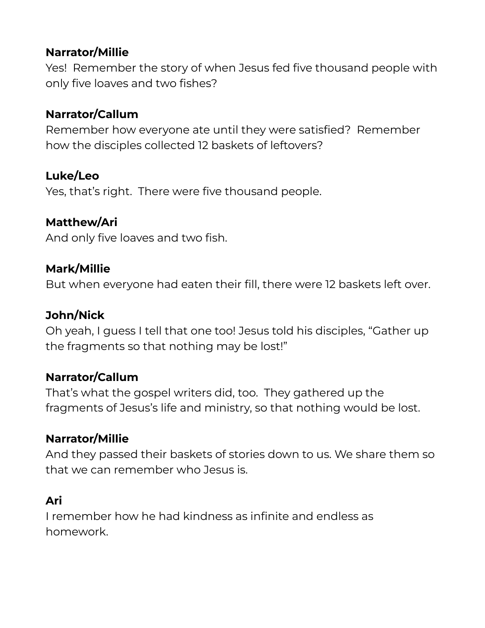### **Narrator/Millie**

Yes! Remember the story of when Jesus fed five thousand people with only five loaves and two fishes?

## **Narrator/Callum**

Remember how everyone ate until they were satisfied? Remember how the disciples collected 12 baskets of leftovers?

### **Luke/Leo**

Yes, that's right. There were five thousand people.

#### **Matthew/Ari**

And only five loaves and two fish.

#### **Mark/Millie**

But when everyone had eaten their fill, there were 12 baskets left over.

#### **John/Nick**

Oh yeah, I guess I tell that one too! Jesus told his disciples, "Gather up the fragments so that nothing may be lost!"

#### **Narrator/Callum**

That's what the gospel writers did, too. They gathered up the fragments of Jesus's life and ministry, so that nothing would be lost.

### **Narrator/Millie**

And they passed their baskets of stories down to us. We share them so that we can remember who Jesus is.

### **Ari**

I remember how he had kindness as infinite and endless as homework.